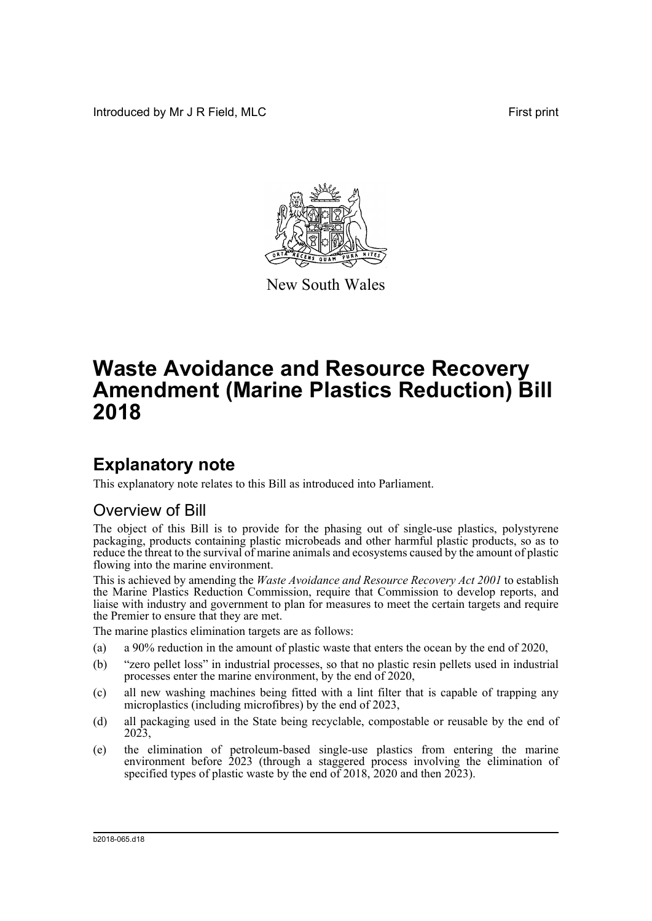Introduced by Mr J R Field, MLC **First print** 



New South Wales

# **Waste Avoidance and Resource Recovery Amendment (Marine Plastics Reduction) Bill 2018**

## **Explanatory note**

This explanatory note relates to this Bill as introduced into Parliament.

### Overview of Bill

The object of this Bill is to provide for the phasing out of single-use plastics, polystyrene packaging, products containing plastic microbeads and other harmful plastic products, so as to reduce the threat to the survival of marine animals and ecosystems caused by the amount of plastic flowing into the marine environment.

This is achieved by amending the *Waste Avoidance and Resource Recovery Act 2001* to establish the Marine Plastics Reduction Commission, require that Commission to develop reports, and liaise with industry and government to plan for measures to meet the certain targets and require the Premier to ensure that they are met.

The marine plastics elimination targets are as follows:

- (a) a 90% reduction in the amount of plastic waste that enters the ocean by the end of 2020,
- (b) "zero pellet loss" in industrial processes, so that no plastic resin pellets used in industrial processes enter the marine environment, by the end of 2020,
- (c) all new washing machines being fitted with a lint filter that is capable of trapping any microplastics (including microfibres) by the end of 2023,
- (d) all packaging used in the State being recyclable, compostable or reusable by the end of 2023,
- (e) the elimination of petroleum-based single-use plastics from entering the marine environment before 2023 (through a staggered process involving the elimination of specified types of plastic waste by the end of 2018, 2020 and then 2023).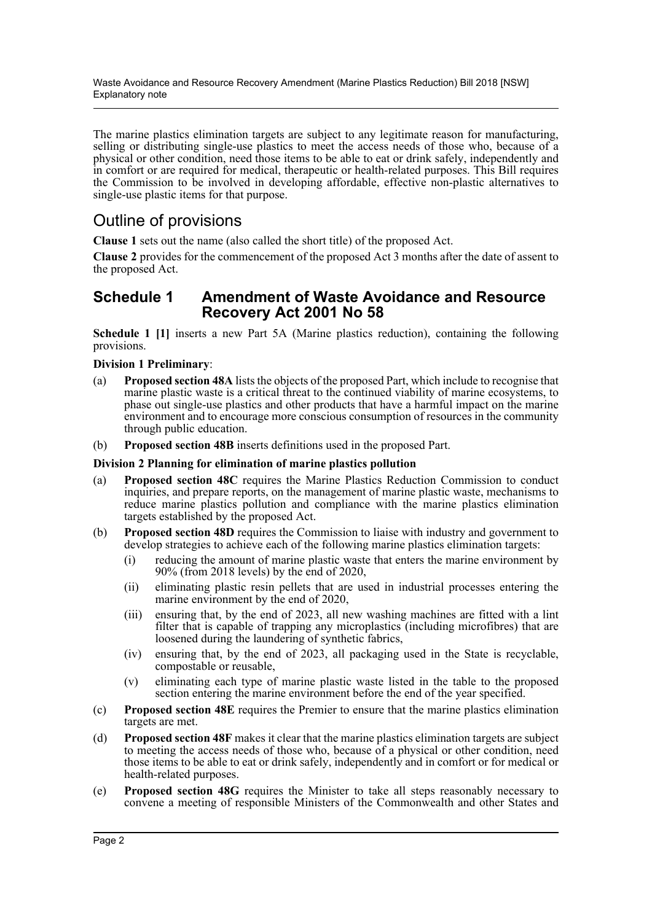Waste Avoidance and Resource Recovery Amendment (Marine Plastics Reduction) Bill 2018 [NSW] Explanatory note

The marine plastics elimination targets are subject to any legitimate reason for manufacturing, selling or distributing single-use plastics to meet the access needs of those who, because of a physical or other condition, need those items to be able to eat or drink safely, independently and in comfort or are required for medical, therapeutic or health-related purposes. This Bill requires the Commission to be involved in developing affordable, effective non-plastic alternatives to single-use plastic items for that purpose.

### Outline of provisions

**Clause 1** sets out the name (also called the short title) of the proposed Act.

**Clause 2** provides for the commencement of the proposed Act 3 months after the date of assent to the proposed Act.

### **Schedule 1 Amendment of Waste Avoidance and Resource Recovery Act 2001 No 58**

**Schedule 1 [1]** inserts a new Part 5A (Marine plastics reduction), containing the following provisions.

**Division 1 Preliminary**:

- (a) **Proposed section 48A** lists the objects of the proposed Part, which include to recognise that marine plastic waste is a critical threat to the continued viability of marine ecosystems, to phase out single-use plastics and other products that have a harmful impact on the marine environment and to encourage more conscious consumption of resources in the community through public education.
- (b) **Proposed section 48B** inserts definitions used in the proposed Part.

#### **Division 2 Planning for elimination of marine plastics pollution**

- (a) **Proposed section 48C** requires the Marine Plastics Reduction Commission to conduct inquiries, and prepare reports, on the management of marine plastic waste, mechanisms to reduce marine plastics pollution and compliance with the marine plastics elimination targets established by the proposed Act.
- (b) **Proposed section 48D** requires the Commission to liaise with industry and government to develop strategies to achieve each of the following marine plastics elimination targets:
	- (i) reducing the amount of marine plastic waste that enters the marine environment by 90% (from 2018 levels) by the end of 2020,
	- (ii) eliminating plastic resin pellets that are used in industrial processes entering the marine environment by the end of 2020,
	- (iii) ensuring that, by the end of 2023, all new washing machines are fitted with a lint filter that is capable of trapping any microplastics (including microfibres) that are loosened during the laundering of synthetic fabrics,
	- (iv) ensuring that, by the end of 2023, all packaging used in the State is recyclable, compostable or reusable,
	- (v) eliminating each type of marine plastic waste listed in the table to the proposed section entering the marine environment before the end of the year specified.
- (c) **Proposed section 48E** requires the Premier to ensure that the marine plastics elimination targets are met.
- (d) **Proposed section 48F** makes it clear that the marine plastics elimination targets are subject to meeting the access needs of those who, because of a physical or other condition, need those items to be able to eat or drink safely, independently and in comfort or for medical or health-related purposes.
- (e) **Proposed section 48G** requires the Minister to take all steps reasonably necessary to convene a meeting of responsible Ministers of the Commonwealth and other States and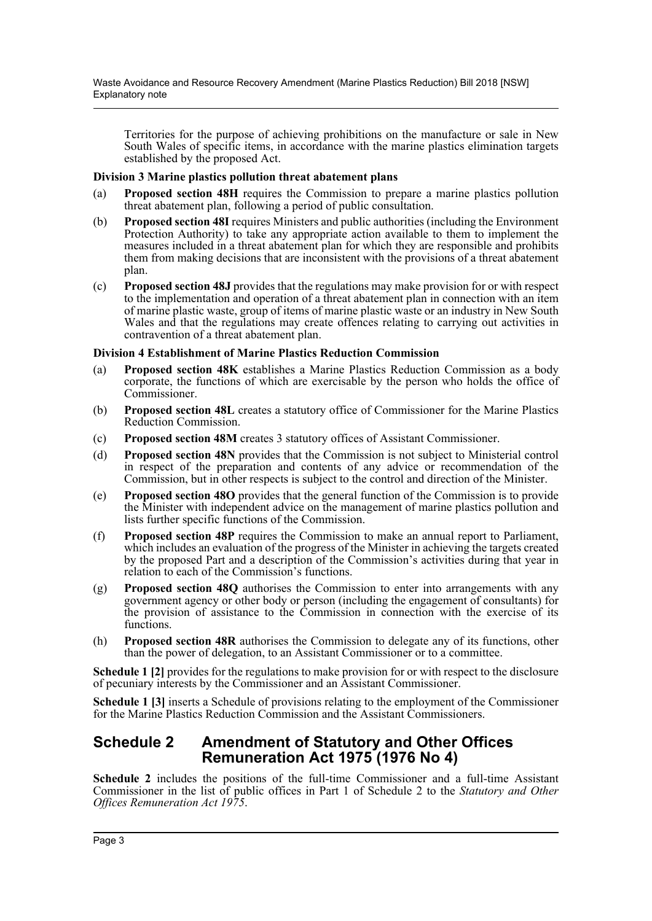Territories for the purpose of achieving prohibitions on the manufacture or sale in New South Wales of specific items, in accordance with the marine plastics elimination targets established by the proposed Act.

#### **Division 3 Marine plastics pollution threat abatement plans**

- (a) **Proposed section 48H** requires the Commission to prepare a marine plastics pollution threat abatement plan, following a period of public consultation.
- (b) **Proposed section 48I** requires Ministers and public authorities (including the Environment Protection Authority) to take any appropriate action available to them to implement the measures included in a threat abatement plan for which they are responsible and prohibits them from making decisions that are inconsistent with the provisions of a threat abatement plan.
- (c) **Proposed section 48J** provides that the regulations may make provision for or with respect to the implementation and operation of a threat abatement plan in connection with an item of marine plastic waste, group of items of marine plastic waste or an industry in New South Wales and that the regulations may create offences relating to carrying out activities in contravention of a threat abatement plan.

#### **Division 4 Establishment of Marine Plastics Reduction Commission**

- (a) **Proposed section 48K** establishes a Marine Plastics Reduction Commission as a body corporate, the functions of which are exercisable by the person who holds the office of Commissioner.
- (b) **Proposed section 48L** creates a statutory office of Commissioner for the Marine Plastics Reduction Commission.
- (c) **Proposed section 48M** creates 3 statutory offices of Assistant Commissioner.
- (d) **Proposed section 48N** provides that the Commission is not subject to Ministerial control in respect of the preparation and contents of any advice or recommendation of the Commission, but in other respects is subject to the control and direction of the Minister.
- (e) **Proposed section 48O** provides that the general function of the Commission is to provide the Minister with independent advice on the management of marine plastics pollution and lists further specific functions of the Commission.
- (f) **Proposed section 48P** requires the Commission to make an annual report to Parliament, which includes an evaluation of the progress of the Minister in achieving the targets created by the proposed Part and a description of the Commission's activities during that year in relation to each of the Commission's functions.
- (g) **Proposed section 48Q** authorises the Commission to enter into arrangements with any government agency or other body or person (including the engagement of consultants) for the provision of assistance to the Commission in connection with the exercise of its functions.
- (h) **Proposed section 48R** authorises the Commission to delegate any of its functions, other than the power of delegation, to an Assistant Commissioner or to a committee.

**Schedule 1 [2]** provides for the regulations to make provision for or with respect to the disclosure of pecuniary interests by the Commissioner and an Assistant Commissioner.

**Schedule 1 [3]** inserts a Schedule of provisions relating to the employment of the Commissioner for the Marine Plastics Reduction Commission and the Assistant Commissioners.

### **Schedule 2 Amendment of Statutory and Other Offices Remuneration Act 1975 (1976 No 4)**

**Schedule 2** includes the positions of the full-time Commissioner and a full-time Assistant Commissioner in the list of public offices in Part 1 of Schedule 2 to the *Statutory and Other Offices Remuneration Act 1975*.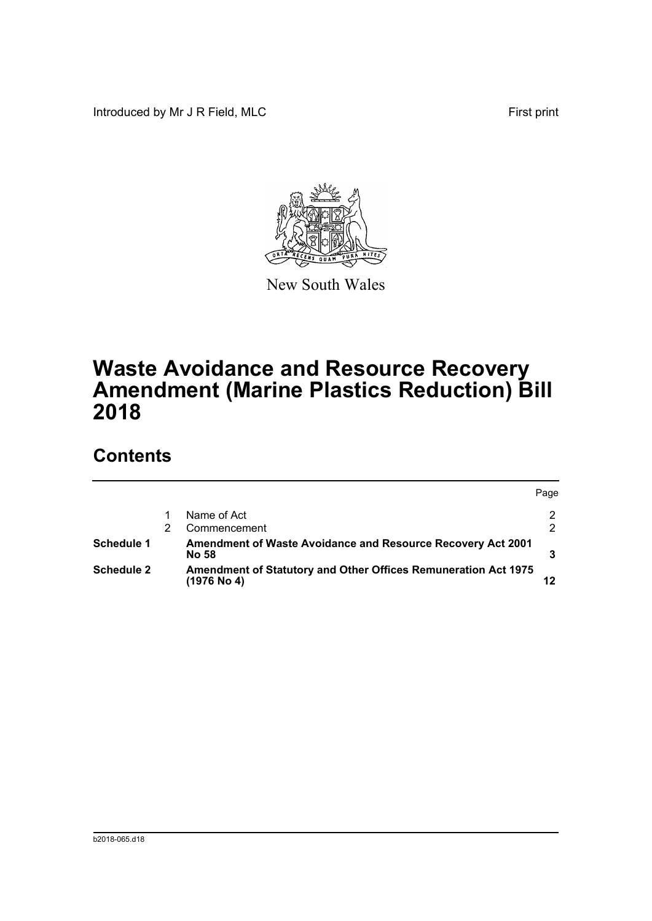Introduced by Mr J R Field, MLC First print



New South Wales

# **Waste Avoidance and Resource Recovery Amendment (Marine Plastics Reduction) Bill 2018**

## **Contents**

|                   |                                                                                        | Page          |
|-------------------|----------------------------------------------------------------------------------------|---------------|
|                   | Name of Act                                                                            | 2             |
|                   | Commencement                                                                           | $\mathcal{P}$ |
| Schedule 1        | <b>Amendment of Waste Avoidance and Resource Recovery Act 2001</b><br>No 58            |               |
| <b>Schedule 2</b> | <b>Amendment of Statutory and Other Offices Remuneration Act 1975</b><br>$(1976$ No 4) | 12            |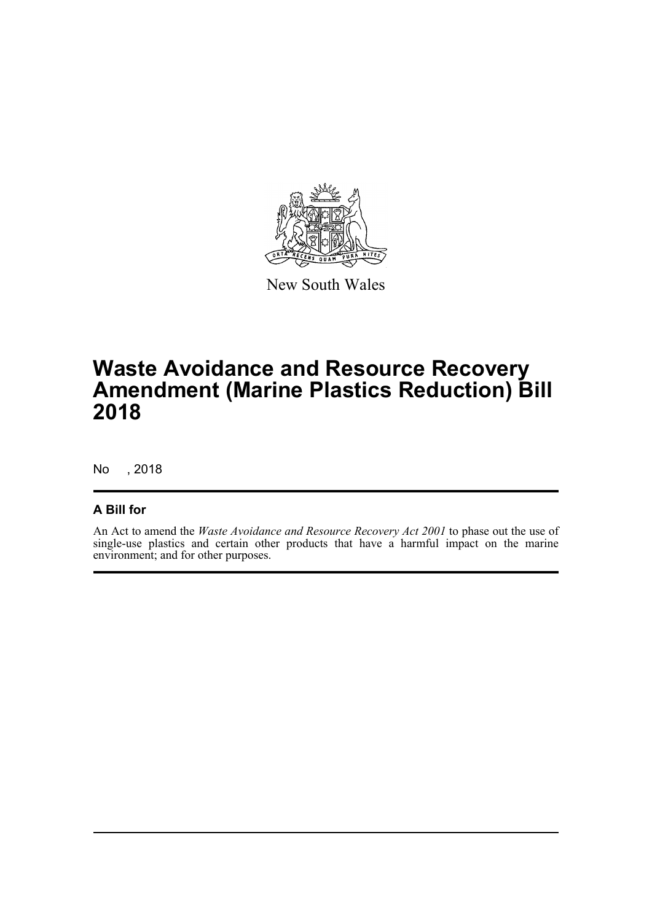

New South Wales

## **Waste Avoidance and Resource Recovery Amendment (Marine Plastics Reduction) Bill 2018**

No , 2018

### **A Bill for**

An Act to amend the *Waste Avoidance and Resource Recovery Act 2001* to phase out the use of single-use plastics and certain other products that have a harmful impact on the marine environment; and for other purposes.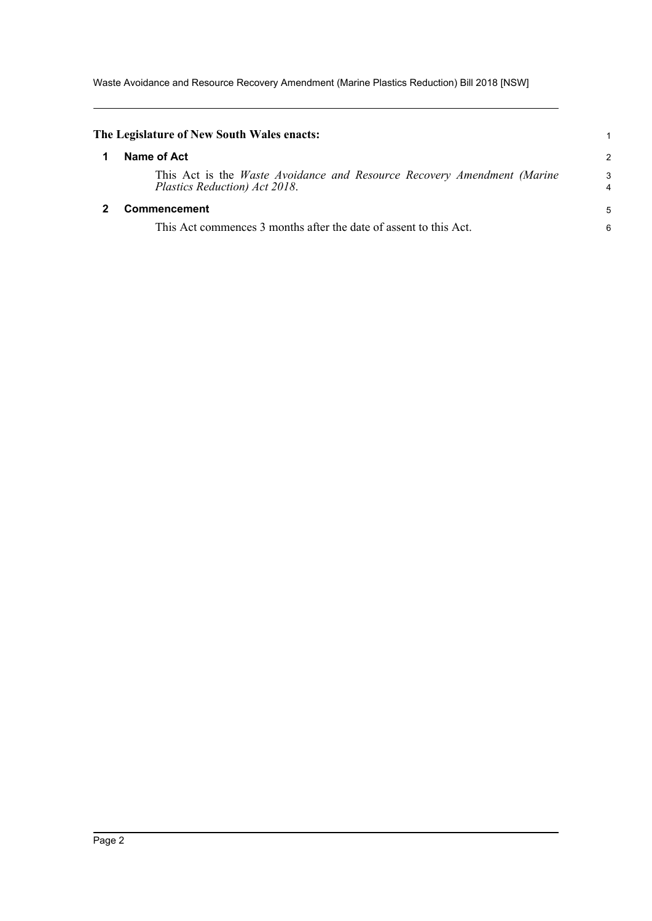Waste Avoidance and Resource Recovery Amendment (Marine Plastics Reduction) Bill 2018 [NSW]

<span id="page-5-1"></span><span id="page-5-0"></span>

| The Legislature of New South Wales enacts:                                                                      |        |
|-----------------------------------------------------------------------------------------------------------------|--------|
| Name of Act                                                                                                     | 2      |
| This Act is the <i>Waste Avoidance and Resource Recovery Amendment (Marine</i><br>Plastics Reduction) Act 2018. | 3<br>4 |
| <b>Commencement</b>                                                                                             | 5      |
| This Act commences 3 months after the date of assent to this Act.                                               | 6      |
|                                                                                                                 |        |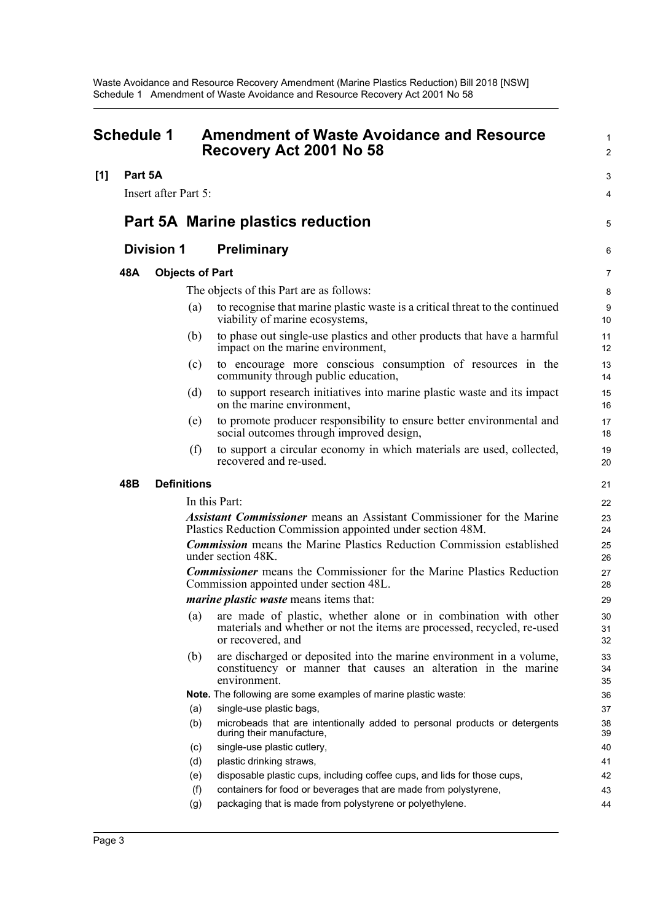<span id="page-6-0"></span>

| <b>Schedule 1</b> |         |                      | <b>Amendment of Waste Avoidance and Resource</b><br>Recovery Act 2001 No 58 |                                                                                                                                                                     |                |
|-------------------|---------|----------------------|-----------------------------------------------------------------------------|---------------------------------------------------------------------------------------------------------------------------------------------------------------------|----------------|
| [1]               | Part 5A |                      |                                                                             |                                                                                                                                                                     | 3              |
|                   |         | Insert after Part 5: |                                                                             |                                                                                                                                                                     | 4              |
|                   |         |                      |                                                                             |                                                                                                                                                                     |                |
|                   |         |                      |                                                                             | <b>Part 5A Marine plastics reduction</b>                                                                                                                            | 5              |
|                   |         | <b>Division 1</b>    |                                                                             | <b>Preliminary</b>                                                                                                                                                  | 6              |
|                   | 48A     |                      | <b>Objects of Part</b>                                                      |                                                                                                                                                                     | 7              |
|                   |         |                      |                                                                             | The objects of this Part are as follows:                                                                                                                            | 8              |
|                   |         |                      | (a)                                                                         | to recognise that marine plastic waste is a critical threat to the continued<br>viability of marine ecosystems,                                                     | 9<br>10        |
|                   |         |                      | (b)                                                                         | to phase out single-use plastics and other products that have a harmful<br>impact on the marine environment,                                                        | 11<br>12       |
|                   |         |                      | (c)                                                                         | to encourage more conscious consumption of resources in the<br>community through public education,                                                                  | 13<br>14       |
|                   |         |                      | (d)                                                                         | to support research initiatives into marine plastic waste and its impact<br>on the marine environment,                                                              | 15<br>16       |
|                   |         |                      | (e)                                                                         | to promote producer responsibility to ensure better environmental and<br>social outcomes through improved design,                                                   | 17<br>18       |
|                   |         |                      | (f)                                                                         | to support a circular economy in which materials are used, collected,<br>recovered and re-used.                                                                     | 19<br>20       |
|                   | 48B     |                      | <b>Definitions</b>                                                          |                                                                                                                                                                     | 21             |
|                   |         |                      |                                                                             | In this Part:                                                                                                                                                       | 22             |
|                   |         |                      |                                                                             | <b>Assistant Commissioner</b> means an Assistant Commissioner for the Marine<br>Plastics Reduction Commission appointed under section 48M.                          | 23<br>24       |
|                   |         |                      |                                                                             | <b>Commission</b> means the Marine Plastics Reduction Commission established<br>under section 48K.                                                                  | 25<br>26       |
|                   |         |                      |                                                                             | <b>Commissioner</b> means the Commissioner for the Marine Plastics Reduction<br>Commission appointed under section 48L.                                             | 27<br>28       |
|                   |         |                      |                                                                             | <i>marine plastic waste</i> means items that:                                                                                                                       | 29             |
|                   |         |                      |                                                                             | (a) are made of plastic, whether alone or in combination with other<br>materials and whether or not the items are processed, recycled, re-used<br>or recovered, and | 30<br>31<br>32 |
|                   |         |                      | (b)                                                                         | are discharged or deposited into the marine environment in a volume,<br>constituency or manner that causes an alteration in the marine<br>environment.              | 33<br>34<br>35 |
|                   |         |                      |                                                                             | Note. The following are some examples of marine plastic waste:                                                                                                      | 36             |
|                   |         |                      | (a)                                                                         | single-use plastic bags,                                                                                                                                            | 37             |
|                   |         |                      | (b)                                                                         | microbeads that are intentionally added to personal products or detergents<br>during their manufacture,                                                             | 38<br>39       |
|                   |         |                      | (c)                                                                         | single-use plastic cutlery,                                                                                                                                         | 40             |
|                   |         |                      | (d)                                                                         | plastic drinking straws,                                                                                                                                            | 41             |
|                   |         |                      | (e)                                                                         | disposable plastic cups, including coffee cups, and lids for those cups,                                                                                            | 42             |
|                   |         |                      | (f)                                                                         | containers for food or beverages that are made from polystyrene,                                                                                                    | 43             |
|                   |         |                      | (g)                                                                         | packaging that is made from polystyrene or polyethylene.                                                                                                            | 44             |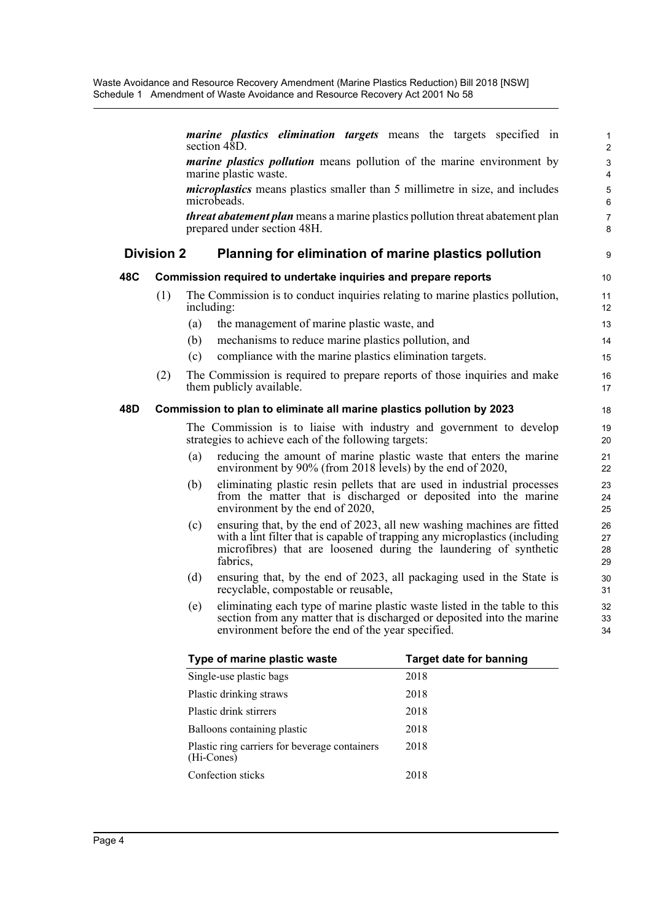|     |                   | marine plastics elimination targets means the targets specified in<br>section $48D$ .                                                                                                                                                         | 1<br>$\overline{2}$       |
|-----|-------------------|-----------------------------------------------------------------------------------------------------------------------------------------------------------------------------------------------------------------------------------------------|---------------------------|
|     |                   | <i>marine plastics pollution</i> means pollution of the marine environment by<br>marine plastic waste.                                                                                                                                        | 3<br>4                    |
|     |                   | <i>microplastics</i> means plastics smaller than 5 millimetre in size, and includes<br>microbeads.                                                                                                                                            | $\overline{5}$<br>$\,6\,$ |
|     |                   | <i>threat abatement plan</i> means a marine plastics pollution threat abatement plan<br>prepared under section 48H.                                                                                                                           | $\overline{7}$<br>8       |
|     | <b>Division 2</b> | Planning for elimination of marine plastics pollution                                                                                                                                                                                         | 9                         |
| 48C |                   | Commission required to undertake inquiries and prepare reports                                                                                                                                                                                | 10                        |
|     | (1)               | The Commission is to conduct inquiries relating to marine plastics pollution,<br>including:                                                                                                                                                   | 11<br>12                  |
|     |                   | (a)<br>the management of marine plastic waste, and                                                                                                                                                                                            | 13                        |
|     |                   | mechanisms to reduce marine plastics pollution, and<br>(b)                                                                                                                                                                                    | 14                        |
|     |                   | compliance with the marine plastics elimination targets.<br>(c)                                                                                                                                                                               | 15                        |
|     | (2)               | The Commission is required to prepare reports of those inquiries and make<br>them publicly available.                                                                                                                                         | 16<br>17                  |
| 48D |                   | Commission to plan to eliminate all marine plastics pollution by 2023                                                                                                                                                                         | 18                        |
|     |                   | The Commission is to liaise with industry and government to develop<br>strategies to achieve each of the following targets:                                                                                                                   | 19<br>20                  |
|     |                   | reducing the amount of marine plastic waste that enters the marine<br>(a)<br>environment by 90% (from 2018 levels) by the end of 2020,                                                                                                        | 21<br>22                  |
|     |                   | eliminating plastic resin pellets that are used in industrial processes<br>(b)<br>from the matter that is discharged or deposited into the marine<br>environment by the end of 2020,                                                          | 23<br>24<br>25            |
|     |                   | ensuring that, by the end of 2023, all new washing machines are fitted<br>(c)<br>with a lint filter that is capable of trapping any microplastics (including<br>microfibres) that are loosened during the laundering of synthetic<br>fabrics, | 26<br>27<br>28<br>29      |
|     |                   | (d)<br>ensuring that, by the end of 2023, all packaging used in the State is<br>recyclable, compostable or reusable,                                                                                                                          | 30<br>31                  |
|     |                   | eliminating each type of marine plastic waste listed in the table to this<br>(e)<br>section from any matter that is discharged or deposited into the marine<br>environment before the end of the year specified.                              | 32<br>33<br>34            |

| Type of marine plastic waste                                | <b>Target date for banning</b> |
|-------------------------------------------------------------|--------------------------------|
| Single-use plastic bags                                     | 2018                           |
| Plastic drinking straws                                     | 2018                           |
| Plastic drink stirrers                                      | 2018                           |
| Balloons containing plastic                                 | 2018                           |
| Plastic ring carriers for beverage containers<br>(Hi-Cones) | 2018                           |
| Confection sticks                                           | 2018                           |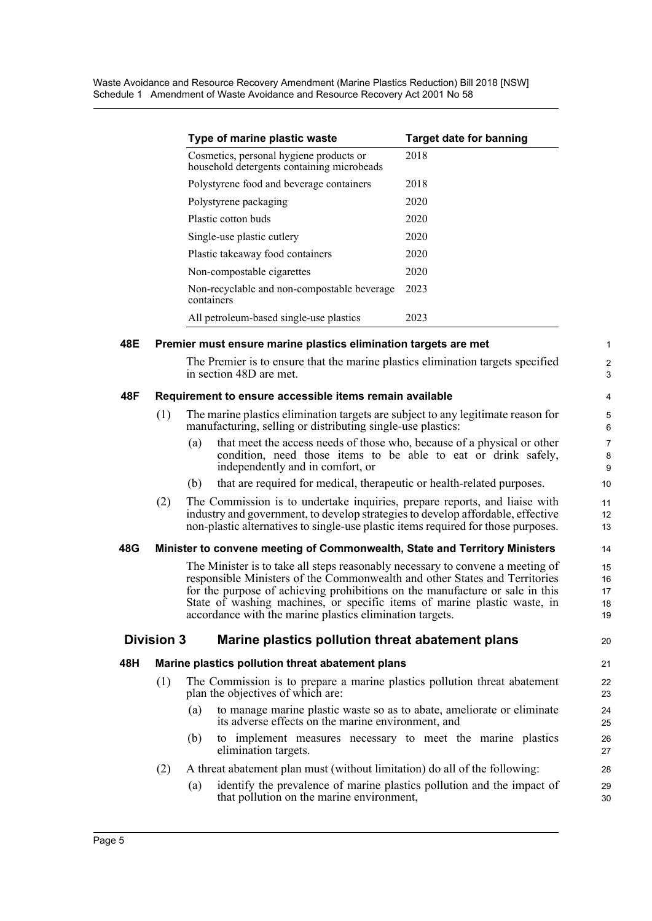Waste Avoidance and Resource Recovery Amendment (Marine Plastics Reduction) Bill 2018 [NSW] Schedule 1 Amendment of Waste Avoidance and Resource Recovery Act 2001 No 58

| Type of marine plastic waste                                                          | <b>Target date for banning</b> |
|---------------------------------------------------------------------------------------|--------------------------------|
| Cosmetics, personal hygiene products or<br>household detergents containing microbeads | 2018                           |
| Polystyrene food and beverage containers                                              | 2018                           |
| Polystyrene packaging                                                                 | 2020                           |
| Plastic cotton buds                                                                   | 2020                           |
| Single-use plastic cutlery                                                            | 2020                           |
| Plastic takeaway food containers                                                      | 2020                           |
| Non-compostable cigarettes                                                            | 2020                           |
| Non-recyclable and non-compostable beverage<br>containers                             | 2023                           |
| All petroleum-based single-use plastics                                               | 2023                           |

## **48E Premier must ensure marine plastics elimination targets are met**

The Premier is to ensure that the marine plastics elimination targets specified in section 48D are met.

#### **48F Requirement to ensure accessible items remain available**

- (1) The marine plastics elimination targets are subject to any legitimate reason for manufacturing, selling or distributing single-use plastics:
	- (a) that meet the access needs of those who, because of a physical or other condition, need those items to be able to eat or drink safely, independently and in comfort, or
	- (b) that are required for medical, therapeutic or health-related purposes.
- (2) The Commission is to undertake inquiries, prepare reports, and liaise with industry and government, to develop strategies to develop affordable, effective non-plastic alternatives to single-use plastic items required for those purposes.

#### **48G Minister to convene meeting of Commonwealth, State and Territory Ministers**

The Minister is to take all steps reasonably necessary to convene a meeting of responsible Ministers of the Commonwealth and other States and Territories for the purpose of achieving prohibitions on the manufacture or sale in this State of washing machines, or specific items of marine plastic waste, in accordance with the marine plastics elimination targets.

#### **Division 3 Marine plastics pollution threat abatement plans**

**48H Marine plastics pollution threat abatement plans**

20 21

1  $\mathfrak{D}$ 3

- (1) The Commission is to prepare a marine plastics pollution threat abatement plan the objectives of which are:
	- (a) to manage marine plastic waste so as to abate, ameliorate or eliminate its adverse effects on the marine environment, and
	- (b) to implement measures necessary to meet the marine plastics elimination targets.
- (2) A threat abatement plan must (without limitation) do all of the following:
	- (a) identify the prevalence of marine plastics pollution and the impact of that pollution on the marine environment,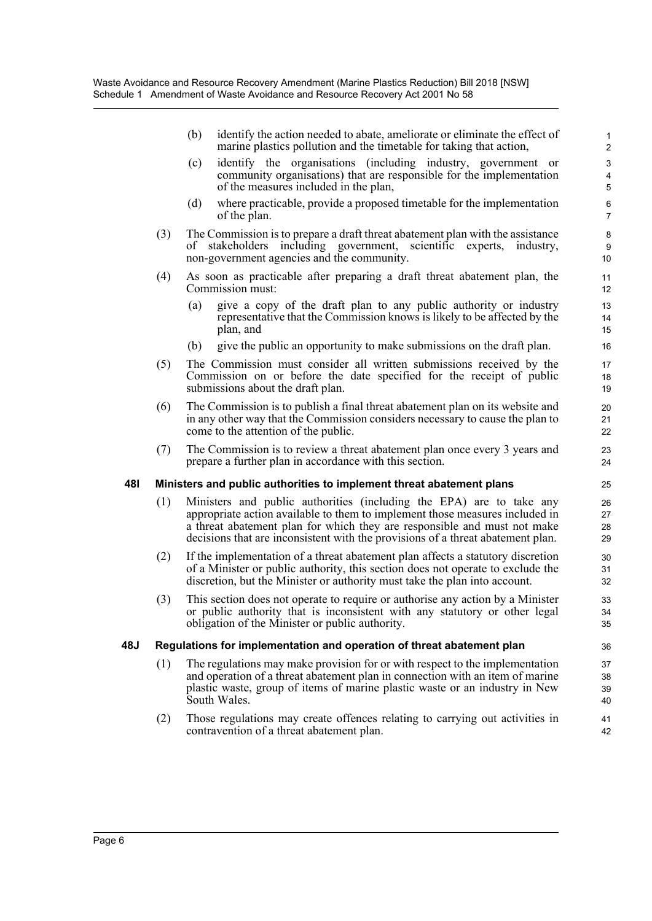|     |     | (b)<br>identify the action needed to abate, ameliorate or eliminate the effect of<br>marine plastics pollution and the timetable for taking that action,                                                                                                                                                            | $\mathbf{1}$<br>$\overline{2}$      |
|-----|-----|---------------------------------------------------------------------------------------------------------------------------------------------------------------------------------------------------------------------------------------------------------------------------------------------------------------------|-------------------------------------|
|     |     | identify the organisations (including industry, government or<br>(c)<br>community organisations) that are responsible for the implementation<br>of the measures included in the plan,                                                                                                                               | $\ensuremath{\mathsf{3}}$<br>4<br>5 |
|     |     | where practicable, provide a proposed timetable for the implementation<br>(d)<br>of the plan.                                                                                                                                                                                                                       | $\,6$<br>$\overline{7}$             |
|     | (3) | The Commission is to prepare a draft threat abatement plan with the assistance<br>of stakeholders including government,<br>scientific experts,<br>industry.<br>non-government agencies and the community.                                                                                                           | 8<br>9<br>10                        |
|     | (4) | As soon as practicable after preparing a draft threat abatement plan, the<br>Commission must:                                                                                                                                                                                                                       | 11<br>12                            |
|     |     | (a)<br>give a copy of the draft plan to any public authority or industry<br>representative that the Commission knows is likely to be affected by the<br>plan, and                                                                                                                                                   | 13<br>14<br>15                      |
|     |     | give the public an opportunity to make submissions on the draft plan.<br>(b)                                                                                                                                                                                                                                        | 16                                  |
|     | (5) | The Commission must consider all written submissions received by the<br>Commission on or before the date specified for the receipt of public<br>submissions about the draft plan.                                                                                                                                   | 17<br>18<br>19                      |
|     | (6) | The Commission is to publish a final threat abatement plan on its website and<br>in any other way that the Commission considers necessary to cause the plan to<br>come to the attention of the public.                                                                                                              | 20<br>21<br>22                      |
|     | (7) | The Commission is to review a threat abatement plan once every 3 years and<br>prepare a further plan in accordance with this section.                                                                                                                                                                               | 23<br>24                            |
| 48I |     | Ministers and public authorities to implement threat abatement plans                                                                                                                                                                                                                                                | 25                                  |
|     | (1) | Ministers and public authorities (including the EPA) are to take any<br>appropriate action available to them to implement those measures included in<br>a threat abatement plan for which they are responsible and must not make<br>decisions that are inconsistent with the provisions of a threat abatement plan. | 26<br>27<br>28<br>29                |
|     | (2) | If the implementation of a threat abatement plan affects a statutory discretion<br>of a Minister or public authority, this section does not operate to exclude the<br>discretion, but the Minister or authority must take the plan into account.                                                                    | 30<br>31<br>32                      |
|     | (3) | This section does not operate to require or authorise any action by a Minister<br>or public authority that is inconsistent with any statutory or other legal<br>obligation of the Minister or public authority.                                                                                                     | 33<br>34<br>35                      |
| 48J |     | Regulations for implementation and operation of threat abatement plan                                                                                                                                                                                                                                               | 36                                  |
|     | (1) | The regulations may make provision for or with respect to the implementation<br>and operation of a threat abatement plan in connection with an item of marine<br>plastic waste, group of items of marine plastic waste or an industry in New<br>South Wales.                                                        | 37<br>38<br>39<br>40                |
|     | (2) | Those regulations may create offences relating to carrying out activities in                                                                                                                                                                                                                                        | 41                                  |

42

contravention of a threat abatement plan.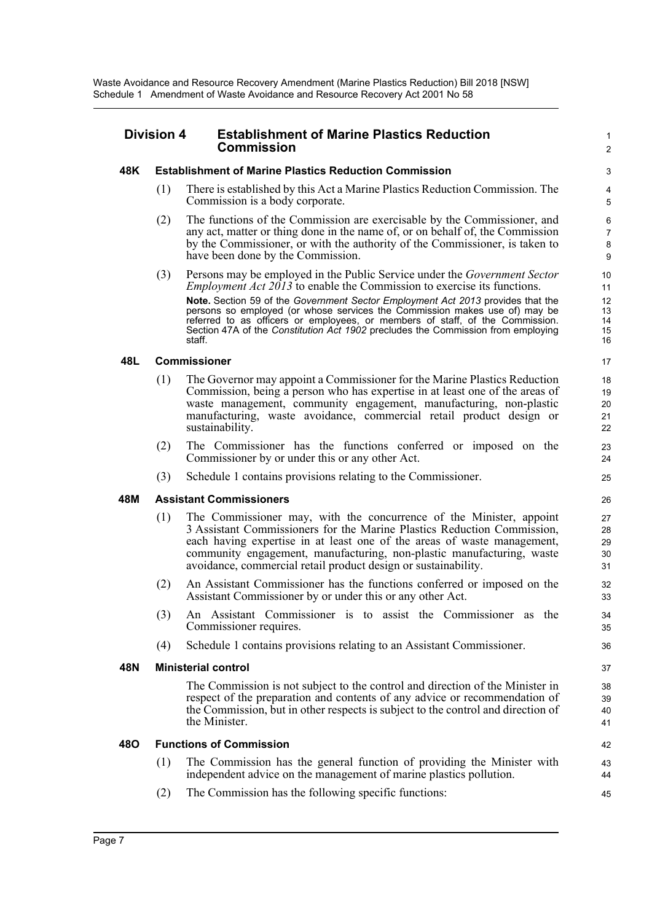#### **Division 4 Establishment of Marine Plastics Reduction Commission**

#### **48K Establishment of Marine Plastics Reduction Commission**

(1) There is established by this Act a Marine Plastics Reduction Commission. The Commission is a body corporate.

1  $\mathfrak{p}$ 

- (2) The functions of the Commission are exercisable by the Commissioner, and any act, matter or thing done in the name of, or on behalf of, the Commission by the Commissioner, or with the authority of the Commissioner, is taken to have been done by the Commission.
- (3) Persons may be employed in the Public Service under the *Government Sector Employment Act 2013* to enable the Commission to exercise its functions. **Note.** Section 59 of the *Government Sector Employment Act 2013* provides that the persons so employed (or whose services the Commission makes use of) may be referred to as officers or employees, or members of staff, of the Commission. Section 47A of the *Constitution Act 1902* precludes the Commission from employing staff.

#### **48L Commissioner**

- (1) The Governor may appoint a Commissioner for the Marine Plastics Reduction Commission, being a person who has expertise in at least one of the areas of waste management, community engagement, manufacturing, non-plastic manufacturing, waste avoidance, commercial retail product design or sustainability.
- (2) The Commissioner has the functions conferred or imposed on the Commissioner by or under this or any other Act.
- (3) Schedule 1 contains provisions relating to the Commissioner.

#### **48M Assistant Commissioners**

- (1) The Commissioner may, with the concurrence of the Minister, appoint 3 Assistant Commissioners for the Marine Plastics Reduction Commission, each having expertise in at least one of the areas of waste management, community engagement, manufacturing, non-plastic manufacturing, waste avoidance, commercial retail product design or sustainability.
- (2) An Assistant Commissioner has the functions conferred or imposed on the Assistant Commissioner by or under this or any other Act.
- (3) An Assistant Commissioner is to assist the Commissioner as the Commissioner requires.
- (4) Schedule 1 contains provisions relating to an Assistant Commissioner.

#### **48N Ministerial control**

The Commission is not subject to the control and direction of the Minister in respect of the preparation and contents of any advice or recommendation of the Commission, but in other respects is subject to the control and direction of the Minister.

#### **48O Functions of Commission**

- (1) The Commission has the general function of providing the Minister with independent advice on the management of marine plastics pollution.
- (2) The Commission has the following specific functions: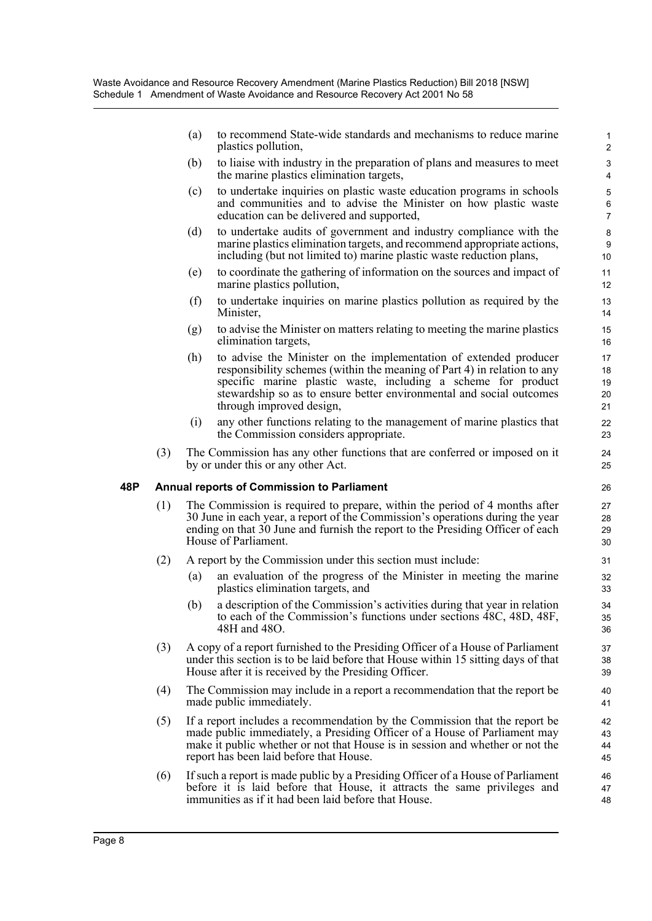(a) to recommend State-wide standards and mechanisms to reduce marine plastics pollution,

- (b) to liaise with industry in the preparation of plans and measures to meet the marine plastics elimination targets,
- (c) to undertake inquiries on plastic waste education programs in schools and communities and to advise the Minister on how plastic waste education can be delivered and supported,
- (d) to undertake audits of government and industry compliance with the marine plastics elimination targets, and recommend appropriate actions, including (but not limited to) marine plastic waste reduction plans,
- (e) to coordinate the gathering of information on the sources and impact of marine plastics pollution,
- (f) to undertake inquiries on marine plastics pollution as required by the Minister,
- (g) to advise the Minister on matters relating to meeting the marine plastics elimination targets,
- (h) to advise the Minister on the implementation of extended producer responsibility schemes (within the meaning of Part 4) in relation to any specific marine plastic waste, including a scheme for product stewardship so as to ensure better environmental and social outcomes through improved design,
- (i) any other functions relating to the management of marine plastics that the Commission considers appropriate.
- (3) The Commission has any other functions that are conferred or imposed on it by or under this or any other Act.

#### **48P Annual reports of Commission to Parliament**

- (1) The Commission is required to prepare, within the period of 4 months after 30 June in each year, a report of the Commission's operations during the year ending on that 30 June and furnish the report to the Presiding Officer of each House of Parliament.
- (2) A report by the Commission under this section must include:
	- (a) an evaluation of the progress of the Minister in meeting the marine plastics elimination targets, and
	- (b) a description of the Commission's activities during that year in relation to each of the Commission's functions under sections 48C, 48D, 48F, 48H and 48O.
- (3) A copy of a report furnished to the Presiding Officer of a House of Parliament under this section is to be laid before that House within 15 sitting days of that House after it is received by the Presiding Officer.
- (4) The Commission may include in a report a recommendation that the report be made public immediately.
- (5) If a report includes a recommendation by the Commission that the report be made public immediately, a Presiding Officer of a House of Parliament may make it public whether or not that House is in session and whether or not the report has been laid before that House.
- (6) If such a report is made public by a Presiding Officer of a House of Parliament before it is laid before that House, it attracts the same privileges and immunities as if it had been laid before that House.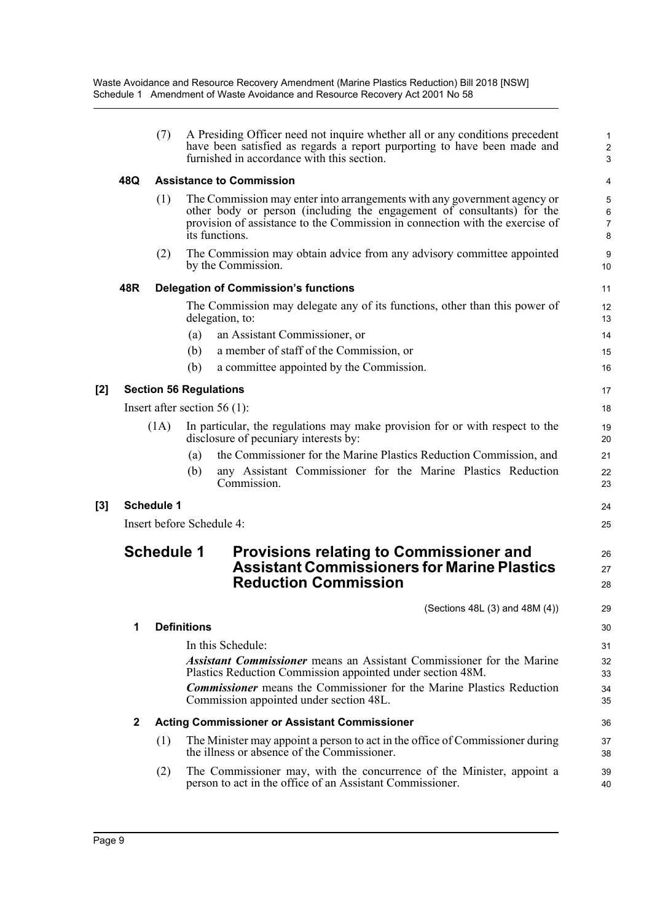|       |              | (7)               |                    | A Presiding Officer need not inquire whether all or any conditions precedent<br>have been satisfied as regards a report purporting to have been made and<br>furnished in accordance with this section.                                               | 1<br>$\overline{c}$<br>3      |
|-------|--------------|-------------------|--------------------|------------------------------------------------------------------------------------------------------------------------------------------------------------------------------------------------------------------------------------------------------|-------------------------------|
|       | 48Q          |                   |                    | <b>Assistance to Commission</b>                                                                                                                                                                                                                      | 4                             |
|       |              | (1)               |                    | The Commission may enter into arrangements with any government agency or<br>other body or person (including the engagement of consultants) for the<br>provision of assistance to the Commission in connection with the exercise of<br>its functions. | 5<br>6<br>$\overline{7}$<br>8 |
|       |              | (2)               |                    | The Commission may obtain advice from any advisory committee appointed<br>by the Commission.                                                                                                                                                         | 9<br>10                       |
|       | 48R          |                   |                    | <b>Delegation of Commission's functions</b>                                                                                                                                                                                                          | 11                            |
|       |              |                   |                    | The Commission may delegate any of its functions, other than this power of<br>delegation, to:                                                                                                                                                        | 12<br>13                      |
|       |              |                   | (a)                | an Assistant Commissioner, or                                                                                                                                                                                                                        | 14                            |
|       |              |                   | (b)                | a member of staff of the Commission, or                                                                                                                                                                                                              | 15                            |
|       |              |                   | (b)                | a committee appointed by the Commission.                                                                                                                                                                                                             | 16                            |
| $[2]$ |              |                   |                    | <b>Section 56 Regulations</b>                                                                                                                                                                                                                        | 17                            |
|       |              |                   |                    | Insert after section $56(1)$ :                                                                                                                                                                                                                       | 18                            |
|       |              | (1A)              |                    | In particular, the regulations may make provision for or with respect to the<br>disclosure of pecuniary interests by:                                                                                                                                | 19<br>20                      |
|       |              |                   | (a)                | the Commissioner for the Marine Plastics Reduction Commission, and                                                                                                                                                                                   | 21                            |
|       |              |                   | (b)                | any Assistant Commissioner for the Marine Plastics Reduction<br>Commission.                                                                                                                                                                          | 22<br>23                      |
| $[3]$ |              | <b>Schedule 1</b> |                    |                                                                                                                                                                                                                                                      | 24                            |
|       |              |                   |                    | Insert before Schedule 4:                                                                                                                                                                                                                            | 25                            |
|       |              | <b>Schedule 1</b> |                    | <b>Provisions relating to Commissioner and</b><br><b>Assistant Commissioners for Marine Plastics</b><br><b>Reduction Commission</b>                                                                                                                  | 26<br>27<br>28                |
|       |              |                   |                    | (Sections 48L (3) and 48M (4))                                                                                                                                                                                                                       | 29                            |
|       | 1            |                   | <b>Definitions</b> |                                                                                                                                                                                                                                                      | 30                            |
|       |              |                   |                    | In this Schedule:                                                                                                                                                                                                                                    | 31                            |
|       |              |                   |                    | <b>Assistant Commissioner</b> means an Assistant Commissioner for the Marine<br>Plastics Reduction Commission appointed under section 48M.                                                                                                           | 32<br>33                      |
|       |              |                   |                    | <b>Commissioner</b> means the Commissioner for the Marine Plastics Reduction<br>Commission appointed under section 48L.                                                                                                                              | 34<br>35                      |
|       | $\mathbf{2}$ |                   |                    | <b>Acting Commissioner or Assistant Commissioner</b>                                                                                                                                                                                                 | 36                            |
|       |              | (1)               |                    | The Minister may appoint a person to act in the office of Commissioner during<br>the illness or absence of the Commissioner.                                                                                                                         | 37<br>38                      |
|       |              | (2)               |                    | The Commissioner may, with the concurrence of the Minister, appoint a<br>person to act in the office of an Assistant Commissioner.                                                                                                                   | 39<br>40                      |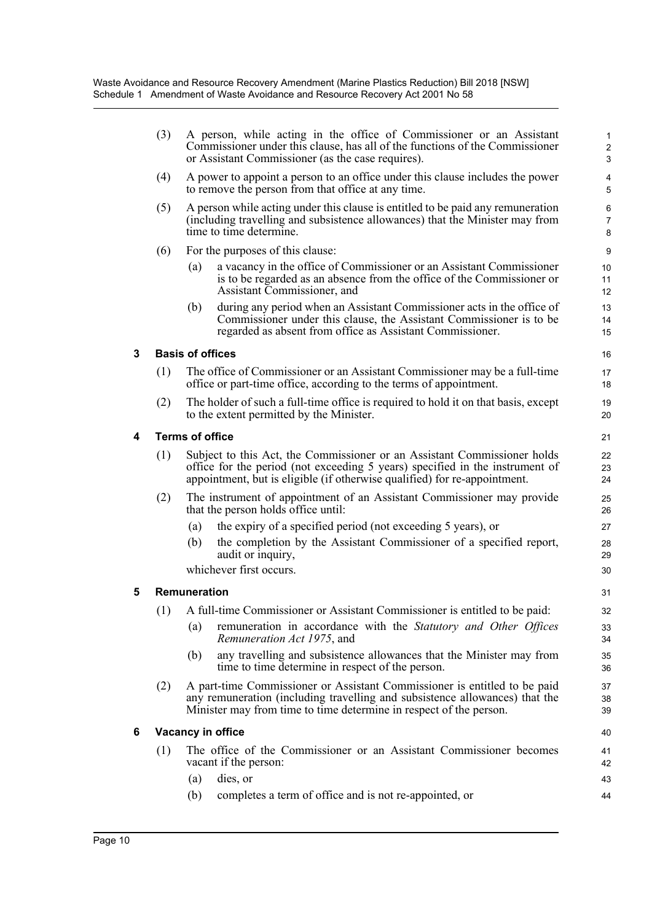|   | (3)                    | A person, while acting in the office of Commissioner or an Assistant<br>Commissioner under this clause, has all of the functions of the Commissioner<br>or Assistant Commissioner (as the case requires).                             | $\mathbf{1}$<br>$\overline{2}$<br>3 |  |  |  |  |
|---|------------------------|---------------------------------------------------------------------------------------------------------------------------------------------------------------------------------------------------------------------------------------|-------------------------------------|--|--|--|--|
|   | (4)                    | A power to appoint a person to an office under this clause includes the power<br>to remove the person from that office at any time.                                                                                                   | 4<br>5                              |  |  |  |  |
|   | (5)                    | A person while acting under this clause is entitled to be paid any remuneration<br>(including travelling and subsistence allowances) that the Minister may from<br>time to time determine.                                            | 6<br>7<br>8                         |  |  |  |  |
|   | (6)                    | For the purposes of this clause:                                                                                                                                                                                                      | 9                                   |  |  |  |  |
|   |                        | a vacancy in the office of Commissioner or an Assistant Commissioner<br>(a)<br>is to be regarded as an absence from the office of the Commissioner or<br>Assistant Commissioner, and                                                  | 10<br>11<br>12                      |  |  |  |  |
|   |                        | during any period when an Assistant Commissioner acts in the office of<br>(b)<br>Commissioner under this clause, the Assistant Commissioner is to be<br>regarded as absent from office as Assistant Commissioner.                     | 13<br>14<br>15                      |  |  |  |  |
| 3 |                        | <b>Basis of offices</b>                                                                                                                                                                                                               | 16                                  |  |  |  |  |
|   | (1)                    | The office of Commissioner or an Assistant Commissioner may be a full-time<br>office or part-time office, according to the terms of appointment.                                                                                      | 17<br>18                            |  |  |  |  |
|   | (2)                    | The holder of such a full-time office is required to hold it on that basis, except<br>to the extent permitted by the Minister.                                                                                                        | 19<br>20                            |  |  |  |  |
| 4 | <b>Terms of office</b> |                                                                                                                                                                                                                                       |                                     |  |  |  |  |
|   | (1)                    | Subject to this Act, the Commissioner or an Assistant Commissioner holds<br>office for the period (not exceeding 5 years) specified in the instrument of<br>appointment, but is eligible (if otherwise qualified) for re-appointment. |                                     |  |  |  |  |
|   | (2)                    | The instrument of appointment of an Assistant Commissioner may provide<br>that the person holds office until:                                                                                                                         | 25<br>26                            |  |  |  |  |
|   |                        | the expiry of a specified period (not exceeding 5 years), or<br>(a)                                                                                                                                                                   | 27                                  |  |  |  |  |
|   |                        | the completion by the Assistant Commissioner of a specified report,<br>(b)<br>audit or inquiry,                                                                                                                                       | 28<br>29                            |  |  |  |  |
|   |                        | whichever first occurs.                                                                                                                                                                                                               | 30                                  |  |  |  |  |
| 5 |                        | Remuneration                                                                                                                                                                                                                          | 31                                  |  |  |  |  |
|   |                        | (1) A full-time Commissioner or Assistant Commissioner is entitled to be paid:                                                                                                                                                        | 32                                  |  |  |  |  |
|   |                        | remuneration in accordance with the Statutory and Other Offices<br>(a)<br>Remuneration Act 1975, and                                                                                                                                  | 33<br>34                            |  |  |  |  |
|   |                        | any travelling and subsistence allowances that the Minister may from<br>(b)<br>time to time determine in respect of the person.                                                                                                       | 35<br>36                            |  |  |  |  |
|   | (2)                    | A part-time Commissioner or Assistant Commissioner is entitled to be paid<br>any remuneration (including travelling and subsistence allowances) that the<br>Minister may from time to time determine in respect of the person.        | 37<br>38<br>39                      |  |  |  |  |
| 6 | Vacancy in office      |                                                                                                                                                                                                                                       |                                     |  |  |  |  |
|   | (1)                    | The office of the Commissioner or an Assistant Commissioner becomes<br>vacant if the person:                                                                                                                                          | 41<br>42                            |  |  |  |  |
|   |                        | dies, or<br>(a)                                                                                                                                                                                                                       | 43                                  |  |  |  |  |
|   |                        | completes a term of office and is not re-appointed, or<br>(b)                                                                                                                                                                         | 44                                  |  |  |  |  |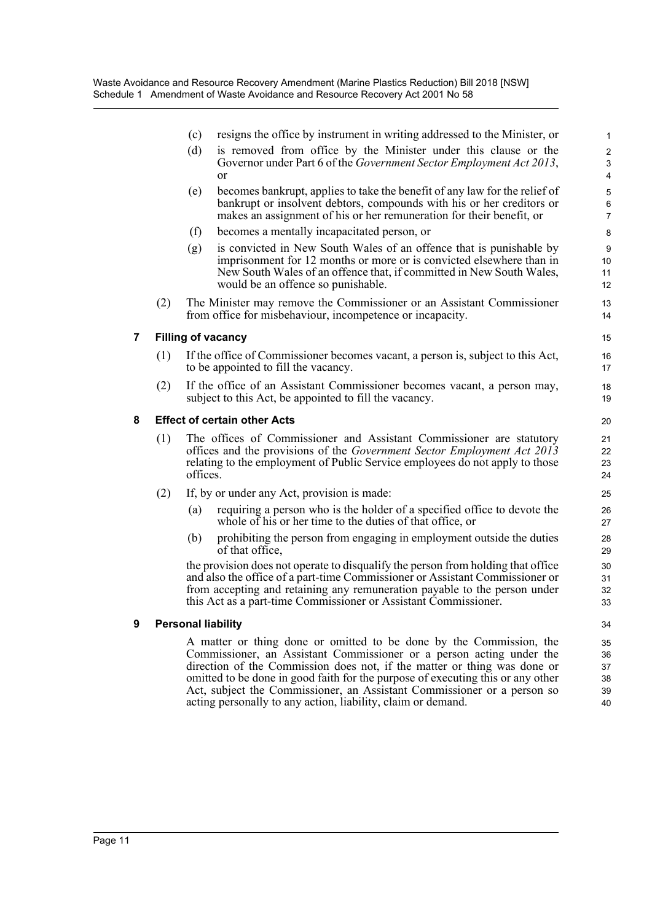|   |     | (c)      | resigns the office by instrument in writing addressed to the Minister, or                                                                                                                                                                                                                                                                                                                                                                             | $\mathbf{1}$                                                  |
|---|-----|----------|-------------------------------------------------------------------------------------------------------------------------------------------------------------------------------------------------------------------------------------------------------------------------------------------------------------------------------------------------------------------------------------------------------------------------------------------------------|---------------------------------------------------------------|
|   |     | (d)      | is removed from office by the Minister under this clause or the<br>Governor under Part 6 of the Government Sector Employment Act 2013,<br><b>or</b>                                                                                                                                                                                                                                                                                                   | $\overline{2}$<br>$\ensuremath{\mathsf{3}}$<br>$\overline{4}$ |
|   |     | (e)      | becomes bankrupt, applies to take the benefit of any law for the relief of<br>bankrupt or insolvent debtors, compounds with his or her creditors or<br>makes an assignment of his or her remuneration for their benefit, or                                                                                                                                                                                                                           | $\mathbf 5$<br>6<br>$\overline{7}$                            |
|   |     | (f)      | becomes a mentally incapacitated person, or                                                                                                                                                                                                                                                                                                                                                                                                           | 8                                                             |
|   |     | (g)      | is convicted in New South Wales of an offence that is punishable by<br>imprisonment for 12 months or more or is convicted elsewhere than in<br>New South Wales of an offence that, if committed in New South Wales,<br>would be an offence so punishable.                                                                                                                                                                                             | 9<br>10<br>11<br>12                                           |
|   | (2) |          | The Minister may remove the Commissioner or an Assistant Commissioner<br>from office for misbehaviour, incompetence or incapacity.                                                                                                                                                                                                                                                                                                                    | 13<br>14                                                      |
| 7 |     |          | <b>Filling of vacancy</b>                                                                                                                                                                                                                                                                                                                                                                                                                             | 15                                                            |
|   | (1) |          | If the office of Commissioner becomes vacant, a person is, subject to this Act,<br>to be appointed to fill the vacancy.                                                                                                                                                                                                                                                                                                                               | 16<br>17                                                      |
|   | (2) |          | If the office of an Assistant Commissioner becomes vacant, a person may,<br>subject to this Act, be appointed to fill the vacancy.                                                                                                                                                                                                                                                                                                                    | 18<br>19                                                      |
| 8 |     |          | <b>Effect of certain other Acts</b>                                                                                                                                                                                                                                                                                                                                                                                                                   | 20                                                            |
|   | (1) | offices. | The offices of Commissioner and Assistant Commissioner are statutory<br>offices and the provisions of the <i>Government Sector Employment Act 2013</i><br>relating to the employment of Public Service employees do not apply to those                                                                                                                                                                                                                | 21<br>22<br>23<br>24                                          |
|   | (2) |          | If, by or under any Act, provision is made:                                                                                                                                                                                                                                                                                                                                                                                                           | 25                                                            |
|   |     | (a)      | requiring a person who is the holder of a specified office to devote the<br>whole of his or her time to the duties of that office, or                                                                                                                                                                                                                                                                                                                 | 26<br>27                                                      |
|   |     | (b)      | prohibiting the person from engaging in employment outside the duties<br>of that office,                                                                                                                                                                                                                                                                                                                                                              | 28<br>29                                                      |
|   |     |          | the provision does not operate to disqualify the person from holding that office<br>and also the office of a part-time Commissioner or Assistant Commissioner or<br>from accepting and retaining any remuneration payable to the person under<br>this Act as a part-time Commissioner or Assistant Commissioner.                                                                                                                                      | 30<br>31<br>32<br>33                                          |
| 9 |     |          | <b>Personal liability</b>                                                                                                                                                                                                                                                                                                                                                                                                                             | 34                                                            |
|   |     |          | A matter or thing done or omitted to be done by the Commission, the<br>Commissioner, an Assistant Commissioner or a person acting under the<br>direction of the Commission does not, if the matter or thing was done or<br>omitted to be done in good faith for the purpose of executing this or any other<br>Act, subject the Commissioner, an Assistant Commissioner or a person so<br>acting personally to any action, liability, claim or demand. | 35<br>36<br>37<br>38<br>39<br>40                              |